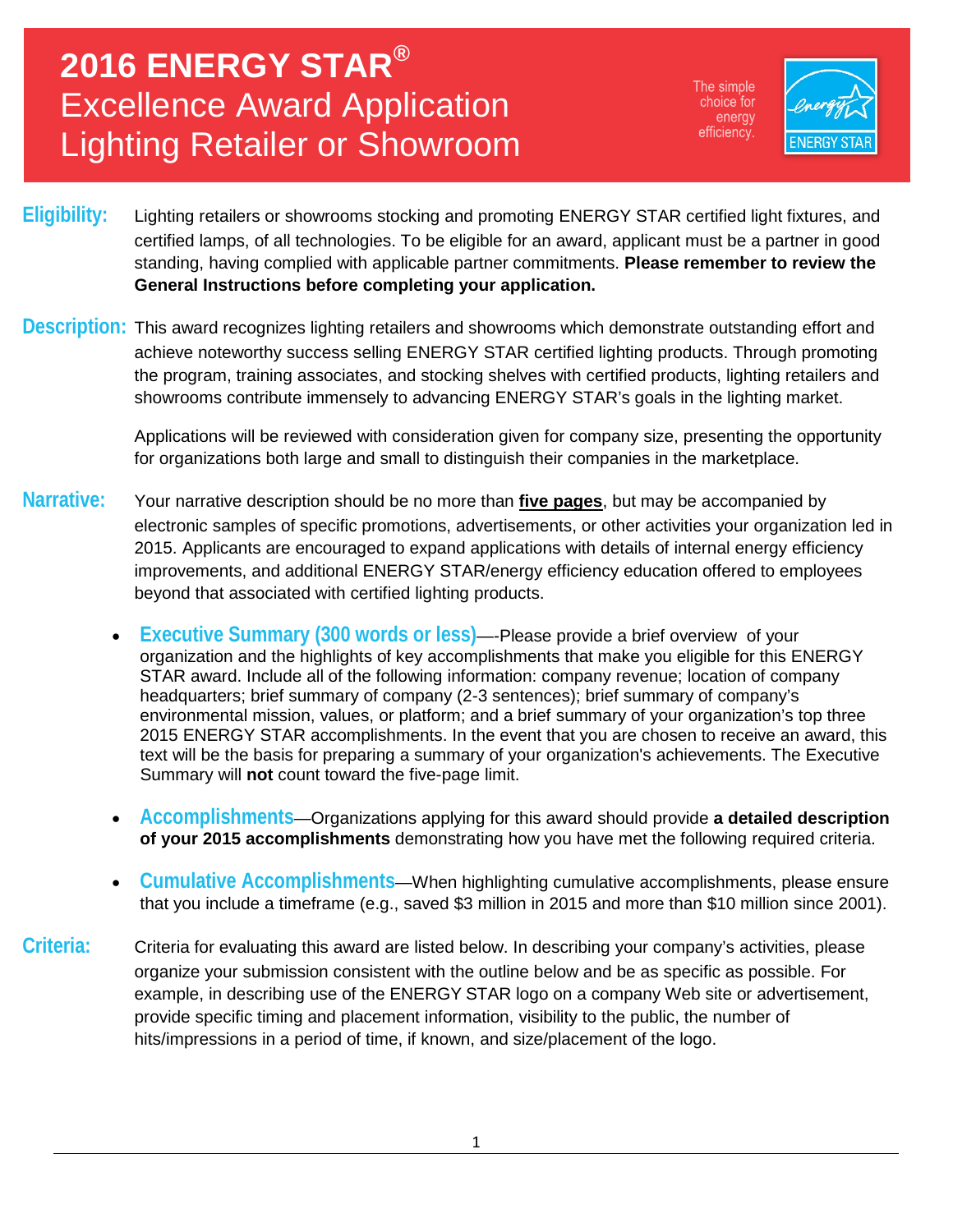# **2016 ENERGY STAR®** Excellence Award Application Lighting Retailer or Showroom

The simple choice for energy efficiency.



- **Eligibility:** Lighting retailers or showrooms stocking and promoting ENERGY STAR certified light fixtures, and certified lamps, of all technologies. To be eligible for an award, applicant must be a partner in good standing, having complied with applicable partner commitments. **Please remember to review the General Instructions before completing your application.**
- **Description:** This award recognizes lighting retailers and showrooms which demonstrate outstanding effort and achieve noteworthy success selling ENERGY STAR certified lighting products. Through promoting the program, training associates, and stocking shelves with certified products, lighting retailers and showrooms contribute immensely to advancing ENERGY STAR's goals in the lighting market.

Applications will be reviewed with consideration given for company size, presenting the opportunity for organizations both large and small to distinguish their companies in the marketplace.

- **Narrative:** Your narrative description should be no more than **five pages**, but may be accompanied by electronic samples of specific promotions, advertisements, or other activities your organization led in 2015. Applicants are encouraged to expand applications with details of internal energy efficiency improvements, and additional ENERGY STAR/energy efficiency education offered to employees beyond that associated with certified lighting products.
	- **Executive Summary (300 words or less)**—-Please provide a brief overview of your organization and the highlights of key accomplishments that make you eligible for this ENERGY STAR award. Include all of the following information: company revenue; location of company headquarters; brief summary of company (2-3 sentences); brief summary of company's environmental mission, values, or platform; and a brief summary of your organization's top three 2015 ENERGY STAR accomplishments. In the event that you are chosen to receive an award, this text will be the basis for preparing a summary of your organization's achievements. The Executive Summary will **not** count toward the five-page limit.
	- **Accomplishments**—Organizations applying for this award should provide **a detailed description of your 2015 accomplishments** demonstrating how you have met the following required criteria.
	- **Cumulative Accomplishments**—When highlighting cumulative accomplishments, please ensure that you include a timeframe (e.g., saved \$3 million in 2015 and more than \$10 million since 2001).
- **Criteria:** Criteria for evaluating this award are listed below. In describing your company's activities, please organize your submission consistent with the outline below and be as specific as possible. For example, in describing use of the ENERGY STAR logo on a company Web site or advertisement, provide specific timing and placement information, visibility to the public, the number of hits/impressions in a period of time, if known, and size/placement of the logo.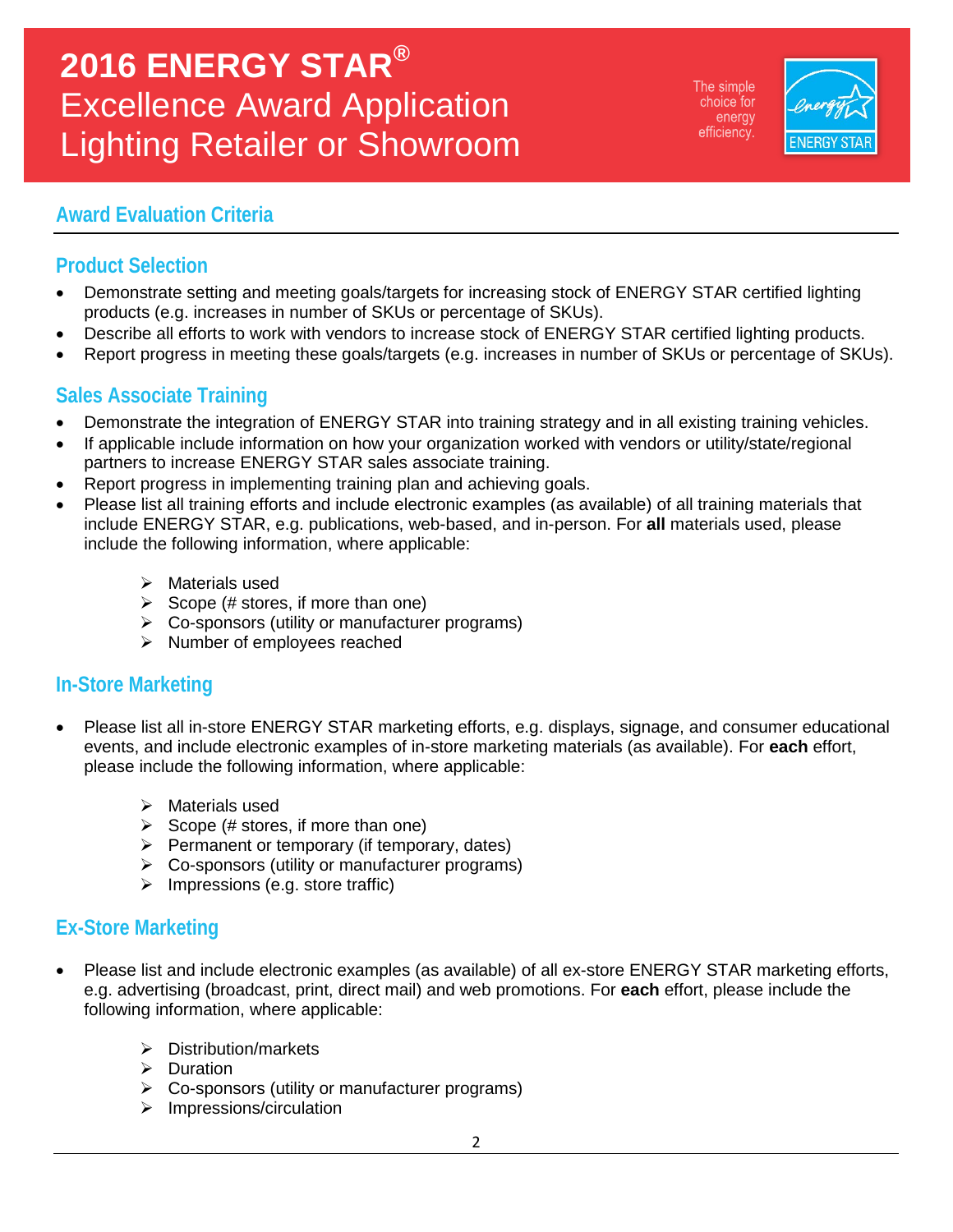# **2016 ENERGY STAR®** Excellence Award Application Lighting Retailer or Showroom

The simple choice for energy efficiency.



### **Award Evaluation Criteria**

## **Product Selection**

- Demonstrate setting and meeting goals/targets for increasing stock of ENERGY STAR certified lighting products (e.g. increases in number of SKUs or percentage of SKUs).
- Describe all efforts to work with vendors to increase stock of ENERGY STAR certified lighting products.
- Report progress in meeting these goals/targets (e.g. increases in number of SKUs or percentage of SKUs).

### **Sales Associate Training**

- Demonstrate the integration of ENERGY STAR into training strategy and in all existing training vehicles.
- If applicable include information on how your organization worked with vendors or utility/state/regional partners to increase ENERGY STAR sales associate training.
- Report progress in implementing training plan and achieving goals.
- Please list all training efforts and include electronic examples (as available) of all training materials that include ENERGY STAR, e.g. publications, web-based, and in-person. For **all** materials used, please include the following information, where applicable:
	- $\triangleright$  Materials used
	- $\triangleright$  Scope (# stores, if more than one)
	- $\triangleright$  Co-sponsors (utility or manufacturer programs)
	- $\triangleright$  Number of employees reached

### **In-Store Marketing**

- Please list all in-store ENERGY STAR marketing efforts, e.g. displays, signage, and consumer educational events, and include electronic examples of in-store marketing materials (as available). For **each** effort, please include the following information, where applicable:
	- $\triangleright$  Materials used
	- $\triangleright$  Scope (# stores, if more than one)
	- $\triangleright$  Permanent or temporary (if temporary, dates)
	- Co-sponsors (utility or manufacturer programs)
	- $\triangleright$  Impressions (e.g. store traffic)

### **Ex-Store Marketing**

- Please list and include electronic examples (as available) of all ex-store ENERGY STAR marketing efforts, e.g. advertising (broadcast, print, direct mail) and web promotions. For **each** effort, please include the following information, where applicable:
	- $\triangleright$  Distribution/markets
	- $\triangleright$  Duration
	- $\triangleright$  Co-sponsors (utility or manufacturer programs)
	- $\triangleright$  Impressions/circulation